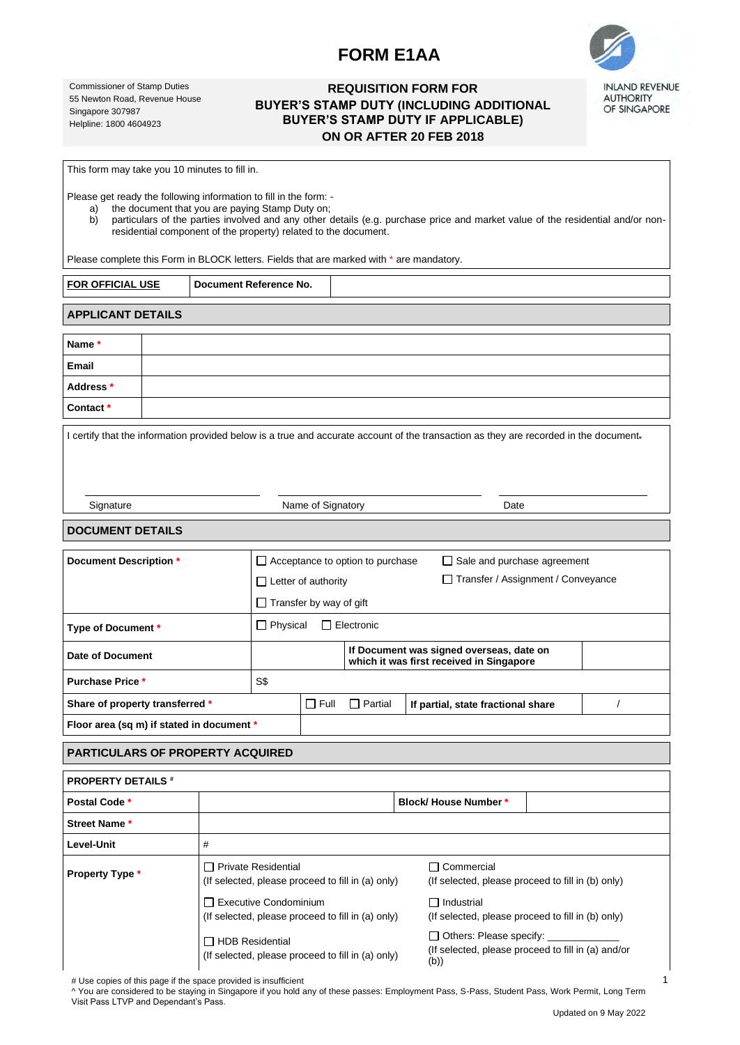# **FORM E1AA**



**INLAND REVENUE AUTHORITY** OF SINGAPORE

Commissioner of Stamp Duties 55 Newton Road, Revenue House Singapore 307987 Helpline: 1800 4604923

## **REQUISITION FORM FOR BUYER'S STAMP DUTY (INCLUDING ADDITIONAL BUYER'S STAMP DUTY IF APPLICABLE) ON OR AFTER 20 FEB 2018**

This form may take you 10 minutes to fill in.

Please get ready the following information to fill in the form: -

a) the document that you are paying Stamp Duty on;<br>b) particulars of the parties involved and any other

b) particulars of the parties involved and any other details (e.g. purchase price and market value of the residential and/or nonresidential component of the property) related to the document.

Please complete this Form in BLOCK letters. Fields that are marked with \* are mandatory.

| <b>FOR OFFICIAL USE</b>  |  | Document Reference No. |  |
|--------------------------|--|------------------------|--|
|                          |  |                        |  |
| <b>APPLICANT DETAILS</b> |  |                        |  |
|                          |  |                        |  |
| Name*                    |  |                        |  |
| Email                    |  |                        |  |

| спан      |  |
|-----------|--|
| Address * |  |
| Contact*  |  |
|           |  |
|           |  |

I certify that the information provided below is a true and accurate account of the transaction as they are recorded in the document.

Name of Signatory **Date** 

### **DOCUMENT DETAILS**

| Document Description *                    | $\Box$ Acceptance to option to purchase                                              |                            |  |                                    | $\Box$ Sale and purchase agreement        |  |  |
|-------------------------------------------|--------------------------------------------------------------------------------------|----------------------------|--|------------------------------------|-------------------------------------------|--|--|
|                                           |                                                                                      | $\Box$ Letter of authority |  |                                    | Transfer / Assignment / Conveyance<br>l 1 |  |  |
|                                           | $\Box$ Transfer by way of gift                                                       |                            |  |                                    |                                           |  |  |
| Type of Document *                        | Electronic<br>$\Box$ Physical<br>ΙI                                                  |                            |  |                                    |                                           |  |  |
| Date of Document                          | If Document was signed overseas, date on<br>which it was first received in Singapore |                            |  |                                    |                                           |  |  |
| <b>Purchase Price *</b>                   | S\$                                                                                  |                            |  |                                    |                                           |  |  |
| Share of property transferred *           | $\Box$ Full                                                                          | $\Box$ Partial             |  | If partial, state fractional share |                                           |  |  |
| Floor area (sq m) if stated in document * |                                                                                      |                            |  |                                    |                                           |  |  |

#### **PARTICULARS OF PROPERTY ACQUIRED**

| <b>PROPERTY DETAILS #</b> |                                                                                   |                                                                                              |  |  |  |  |  |
|---------------------------|-----------------------------------------------------------------------------------|----------------------------------------------------------------------------------------------|--|--|--|--|--|
| Postal Code *             |                                                                                   | <b>Block/House Number*</b>                                                                   |  |  |  |  |  |
| <b>Street Name *</b>      |                                                                                   |                                                                                              |  |  |  |  |  |
| Level-Unit                | #                                                                                 |                                                                                              |  |  |  |  |  |
| <b>Property Type *</b>    | □ Private Residential<br>(If selected, please proceed to fill in (a) only)        | Commercial<br>(If selected, please proceed to fill in (b) only)                              |  |  |  |  |  |
|                           | $\Box$ Executive Condominium<br>(If selected, please proceed to fill in (a) only) | Industrial<br>$\mathsf{L}$<br>(If selected, please proceed to fill in (b) only)              |  |  |  |  |  |
|                           | □ HDB Residential<br>(If selected, please proceed to fill in (a) only)            | $\Box$ Others: Please specify:<br>(If selected, please proceed to fill in (a) and/or<br>(b)) |  |  |  |  |  |

# Use copies of this page if the space provided is insufficient

^ You are considered to be staying in Singapore if you hold any of these passes: Employment Pass, S-Pass, Student Pass, Work Permit, Long Term Visit Pass LTVP and Dependant's Pass.

1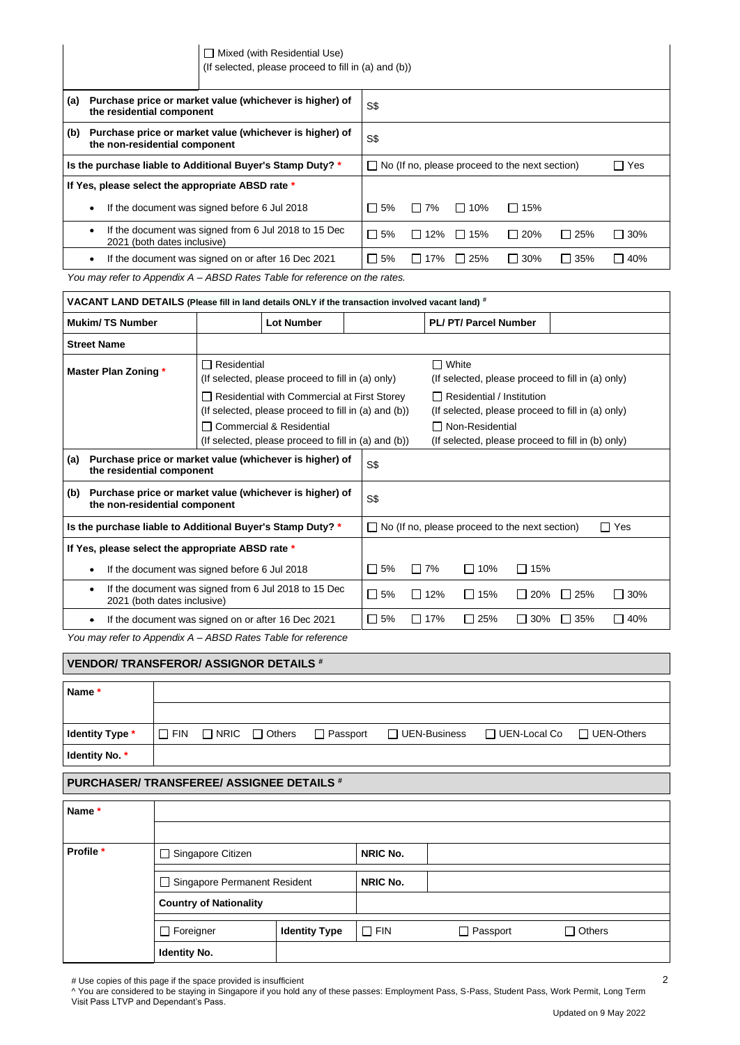| $\Box$ Mixed (with Residential Use)                  |  |  |
|------------------------------------------------------|--|--|
| (If selected, please proceed to fill in (a) and (b)) |  |  |

| (a)                                                        | Purchase price or market value (whichever is higher) of<br>the residential component             | S\$       |                                                       |                |               |            |            |
|------------------------------------------------------------|--------------------------------------------------------------------------------------------------|-----------|-------------------------------------------------------|----------------|---------------|------------|------------|
| (b)                                                        | Purchase price or market value (whichever is higher) of<br>the non-residential component         | S\$       |                                                       |                |               |            |            |
| Is the purchase liable to Additional Buyer's Stamp Duty? * |                                                                                                  |           | $\Box$ No (If no, please proceed to the next section) |                |               |            |            |
| If Yes, please select the appropriate ABSD rate *          |                                                                                                  |           |                                                       |                |               |            |            |
|                                                            | If the document was signed before 6 Jul 2018<br>$\bullet$                                        | $\Box$ 5% | 7%<br>П                                               | $\Box$ 10%     | 15%<br>$\Box$ |            |            |
|                                                            | If the document was signed from 6 Jul 2018 to 15 Dec<br>$\bullet$<br>2021 (both dates inclusive) | $\Box$ 5% | $\Box$ 12%                                            | 15%<br>$\perp$ | $\Box$ 20%    | $\Box$ 25% | $\Box$ 30% |
|                                                            | If the document was signed on or after 16 Dec 2021<br>$\bullet$                                  | $\Box$ 5% | $\Box$ 17%                                            | $\Box$ 25%     | $\Box$ 30%    | $\Box$ 35% | $\Box$ 40% |
|                                                            | You may refer to Appendix A – ABSD Rates Table for reference on the rates.                       |           |                                                       |                |               |            |            |

| * VACANT LAND DETAILS (Please fill in land details ONLY if the transaction involved vacant land)       |                                                                                                                                                                                                  |  |                                                                     |          |                                                                                                                                                                 |            |               |            |
|--------------------------------------------------------------------------------------------------------|--------------------------------------------------------------------------------------------------------------------------------------------------------------------------------------------------|--|---------------------------------------------------------------------|----------|-----------------------------------------------------------------------------------------------------------------------------------------------------------------|------------|---------------|------------|
| <b>Mukim/TS Number</b>                                                                                 | <b>Lot Number</b>                                                                                                                                                                                |  |                                                                     |          | <b>PL/PT/Parcel Number</b>                                                                                                                                      |            |               |            |
| <b>Street Name</b>                                                                                     |                                                                                                                                                                                                  |  |                                                                     |          |                                                                                                                                                                 |            |               |            |
| $\Box$ Residential<br><b>Master Plan Zoning *</b><br>(If selected, please proceed to fill in (a) only) |                                                                                                                                                                                                  |  | $\Box$ White<br>(If selected, please proceed to fill in (a) only)   |          |                                                                                                                                                                 |            |               |            |
|                                                                                                        | $\Box$ Residential with Commercial at First Storey<br>(If selected, please proceed to fill in (a) and (b))<br>□ Commercial & Residential<br>(If selected, please proceed to fill in (a) and (b)) |  |                                                                     |          | $\Box$ Residential / Institution<br>(If selected, please proceed to fill in (a) only)<br>□ Non-Residential<br>(If selected, please proceed to fill in (b) only) |            |               |            |
| Purchase price or market value (whichever is higher) of<br>(a)<br>the residential component            |                                                                                                                                                                                                  |  | S\$                                                                 |          |                                                                                                                                                                 |            |               |            |
| Purchase price or market value (whichever is higher) of<br>(b)<br>the non-residential component        |                                                                                                                                                                                                  |  | S\$                                                                 |          |                                                                                                                                                                 |            |               |            |
|                                                                                                        | Is the purchase liable to Additional Buyer's Stamp Duty? *                                                                                                                                       |  | $\Box$ Yes<br>$\Box$ No (If no, please proceed to the next section) |          |                                                                                                                                                                 |            |               |            |
| If Yes, please select the appropriate ABSD rate *                                                      |                                                                                                                                                                                                  |  |                                                                     |          |                                                                                                                                                                 |            |               |            |
| If the document was signed before 6 Jul 2018                                                           |                                                                                                                                                                                                  |  | $\Box$ 5%                                                           | 7%<br>П  | $\Box$ 10%                                                                                                                                                      | $\Box$ 15% |               |            |
| If the document was signed from 6 Jul 2018 to 15 Dec<br>2021 (both dates inclusive)                    |                                                                                                                                                                                                  |  | $\Box$ 5%                                                           | 12%<br>П | $\Box$ 15%                                                                                                                                                      | 20%<br>П   | $\square$ 25% | $\Box$ 30% |
|                                                                                                        | If the document was signed on or after 16 Dec 2021                                                                                                                                               |  | $\Box$ 5%                                                           | 17%<br>П | $\Box$ 25%                                                                                                                                                      | 30%<br>П   | 35%<br>ΙI     | $\Box$ 40% |

*You may refer to Appendix A – ABSD Rates Table for reference* 

| <b>VENDOR/TRANSFEROR/ ASSIGNOR DETAILS #</b> |            |                          |               |                 |                 |                     |                     |                   |
|----------------------------------------------|------------|--------------------------|---------------|-----------------|-----------------|---------------------|---------------------|-------------------|
| Name*                                        |            |                          |               |                 |                 |                     |                     |                   |
|                                              |            |                          |               |                 |                 |                     |                     |                   |
| <b>Identity Type *</b>                       | $\Box$ FIN | $\Box$ NRIC              | $\Box$ Others | $\Box$ Passport |                 | $\Box$ UEN-Business | $\Box$ UEN-Local Co | $\Box$ UEN-Others |
| Identity No. *                               |            |                          |               |                 |                 |                     |                     |                   |
|                                              |            |                          |               |                 |                 |                     |                     |                   |
| PURCHASER/TRANSFEREE/ASSIGNEE DETAILS #      |            |                          |               |                 |                 |                     |                     |                   |
|                                              |            |                          |               |                 |                 |                     |                     |                   |
| Name*                                        |            |                          |               |                 |                 |                     |                     |                   |
|                                              |            |                          |               |                 |                 |                     |                     |                   |
| Profile *                                    |            | $\Box$ Singapore Citizen |               |                 | <b>NRIC No.</b> |                     |                     |                   |

| $\Box$ Singapore Permanent Resident |                      | <b>NRIC No.</b> |          |               |  |  |  |  |  |
|-------------------------------------|----------------------|-----------------|----------|---------------|--|--|--|--|--|
| <b>Country of Nationality</b>       |                      |                 |          |               |  |  |  |  |  |
| $\Box$ Foreigner                    | <b>Identity Type</b> | $\Box$ Fin      | Passport | $\Box$ Others |  |  |  |  |  |
| <b>Identity No.</b>                 |                      |                 |          |               |  |  |  |  |  |

# Use copies of this page if the space provided is insufficient

^ You are considered to be staying in Singapore if you hold any of these passes: Employment Pass, S-Pass, Student Pass, Work Permit, Long Term Visit Pass LTVP and Dependant's Pass.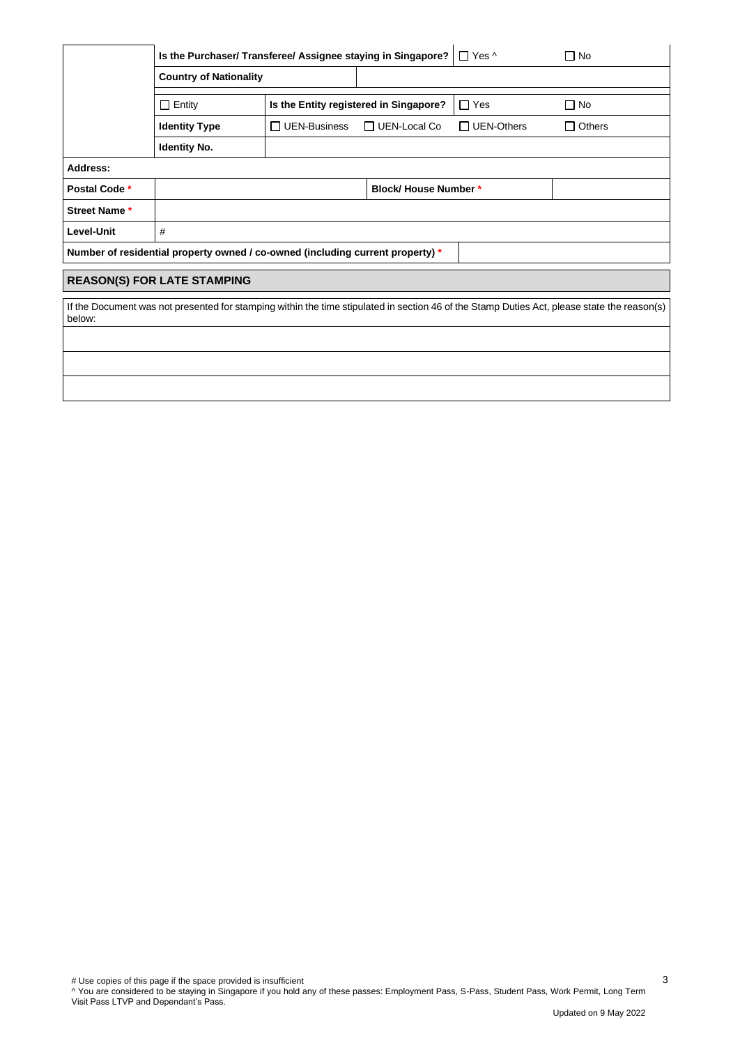|                                                                                                                                                       | Is the Purchaser/ Transferee/ Assignee staying in Singapore?                   |                                        |                              | $\Box$ Yes ^      | $\Box$ No     |  |  |  |  |
|-------------------------------------------------------------------------------------------------------------------------------------------------------|--------------------------------------------------------------------------------|----------------------------------------|------------------------------|-------------------|---------------|--|--|--|--|
|                                                                                                                                                       | <b>Country of Nationality</b>                                                  |                                        |                              |                   |               |  |  |  |  |
|                                                                                                                                                       | $\Box$ Entity                                                                  | Is the Entity registered in Singapore? |                              | $\Box$ Yes        | $\Box$ No     |  |  |  |  |
|                                                                                                                                                       | <b>Identity Type</b>                                                           | $\Box$ UEN-Business                    | UEN-Local Co<br>$\perp$      | $\Box$ UEN-Others | $\Box$ Others |  |  |  |  |
|                                                                                                                                                       | <b>Identity No.</b>                                                            |                                        |                              |                   |               |  |  |  |  |
| Address:                                                                                                                                              |                                                                                |                                        |                              |                   |               |  |  |  |  |
| Postal Code *                                                                                                                                         |                                                                                |                                        | <b>Block/ House Number *</b> |                   |               |  |  |  |  |
| Street Name*                                                                                                                                          |                                                                                |                                        |                              |                   |               |  |  |  |  |
| Level-Unit                                                                                                                                            | #                                                                              |                                        |                              |                   |               |  |  |  |  |
|                                                                                                                                                       | Number of residential property owned / co-owned (including current property) * |                                        |                              |                   |               |  |  |  |  |
|                                                                                                                                                       | <b>REASON(S) FOR LATE STAMPING</b>                                             |                                        |                              |                   |               |  |  |  |  |
| If the Document was not presented for stamping within the time stipulated in section 46 of the Stamp Duties Act, please state the reason(s)<br>below: |                                                                                |                                        |                              |                   |               |  |  |  |  |
|                                                                                                                                                       |                                                                                |                                        |                              |                   |               |  |  |  |  |
|                                                                                                                                                       |                                                                                |                                        |                              |                   |               |  |  |  |  |
|                                                                                                                                                       |                                                                                |                                        |                              |                   |               |  |  |  |  |